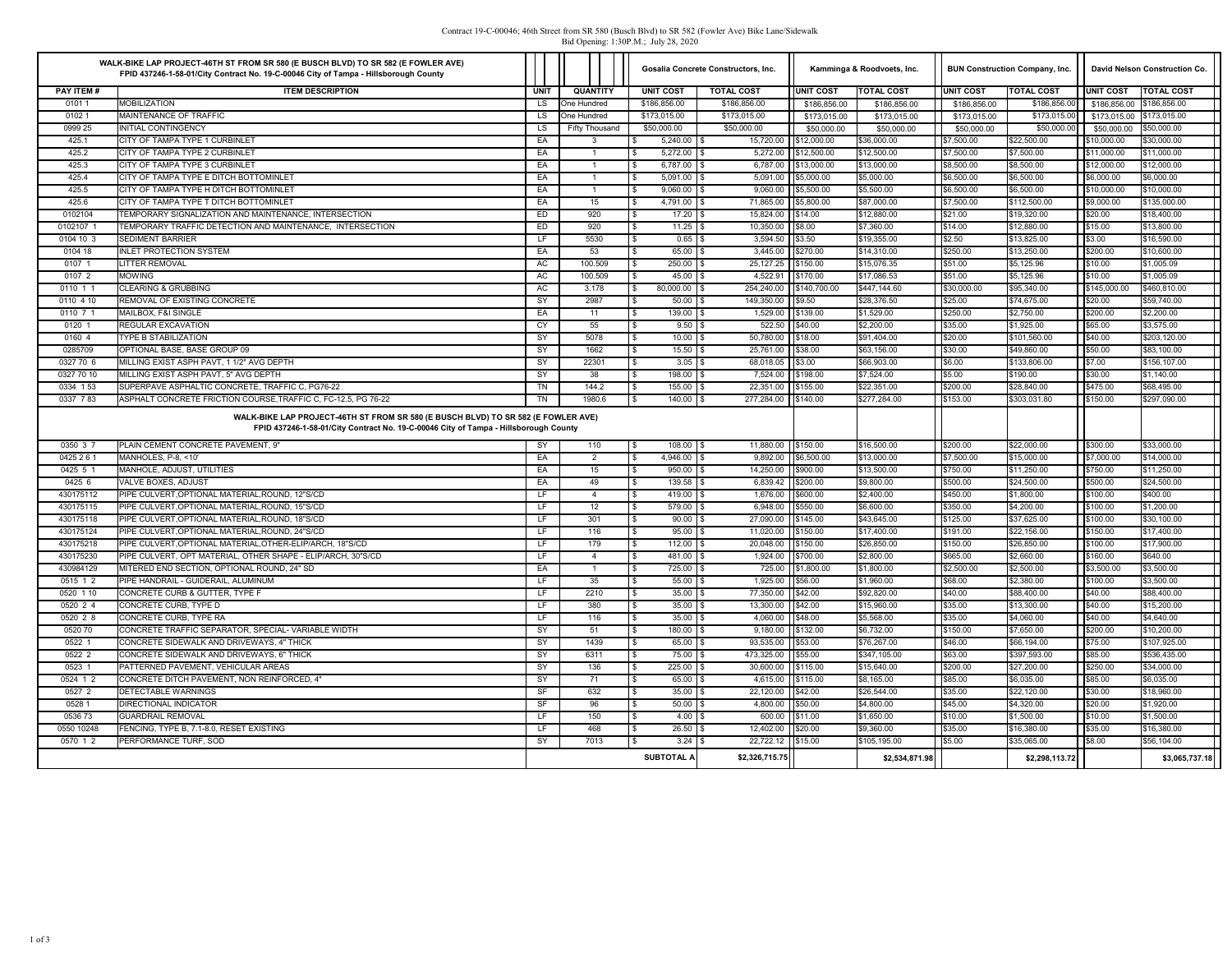## Contract 19-C-00046; 46th Street from SR 580 (Busch Blvd) to SR 582 (Fowler Ave) Bike Lane/Sidewalk Bid Opening: 1:30P.M.; July 28, 2020

|                         | WALK-BIKE LAP PROJECT-46TH ST FROM SR 580 (E BUSCH BLVD) TO SR 582 (E FOWLER AVE)<br>FPID 437246-1-58-01/City Contract No. 19-C-00046 City of Tampa - Hillsborough County                                       |             |             |                       | Gosalia Concrete Constructors, Inc. |                     | Kamminga & Roodvoets, Inc.   |                    | <b>BUN Construction Company, Inc.</b> |                  | David Nelson Construction Co. |                   |                            |
|-------------------------|-----------------------------------------------------------------------------------------------------------------------------------------------------------------------------------------------------------------|-------------|-------------|-----------------------|-------------------------------------|---------------------|------------------------------|--------------------|---------------------------------------|------------------|-------------------------------|-------------------|----------------------------|
| PAY ITEM #              | <b>ITEM DESCRIPTION</b>                                                                                                                                                                                         | <b>UNIT</b> |             | <b>QUANTITY</b>       | <b>UNIT COST</b>                    |                     | <b>TOTAL COST</b>            | UNIT COST          | <b>TOTAL COST</b>                     | <b>UNIT COST</b> | <b>TOTAL COST</b>             | <b>UNIT COST</b>  | <b>TOTAL COST</b>          |
| 01011                   | <b>MOBILIZATION</b>                                                                                                                                                                                             | <b>LS</b>   | One Hundred |                       | \$186,856.00                        |                     | \$186,856.00                 | \$186,856.00       | \$186,856.00                          | \$186,856.00     | \$186,856.00                  | \$186,856.00      | \$186,856.00               |
| 01021                   | MAINTENANCE OF TRAFFIC                                                                                                                                                                                          | LS.         | One Hundred |                       | \$173,015.00                        |                     | \$173,015.00                 | \$173,015.00       | \$173,015.00                          | \$173,015.00     | \$173,015,00                  | \$173,015,00      | \$173,015.00               |
| 0999 25                 | <b>INITIAL CONTINGENCY</b>                                                                                                                                                                                      | <b>LS</b>   |             | <b>Fifty Thousand</b> | \$50,000.00                         |                     | \$50,000.00                  | \$50,000.00        | \$50,000.00                           | \$50,000.00      | \$50,000.00                   | \$50,000.00       | \$50,000.00                |
| 425.1                   | CITY OF TAMPA TYPE 1 CURBINLET                                                                                                                                                                                  | EA          |             | 3                     |                                     | 5,240.00 \$         | 15,720.00                    | \$12,000.00        | \$36,000.00                           | \$7,500.00       | \$22,500.00                   | \$10,000.00       | \$30,000.00                |
| 425.2                   | CITY OF TAMPA TYPE 2 CURBINLET                                                                                                                                                                                  | EA          |             | $\overline{1}$        |                                     | $5,272.00$ \$       | 5,272.00                     | \$12,500.00        | \$12,500.00                           | \$7,500.00       | \$7,500.00                    | \$11,000.00       | \$11,000.00                |
| 425.3                   | CITY OF TAMPA TYPE 3 CURBINLET                                                                                                                                                                                  | EA          |             | $\overline{1}$        |                                     | 6,787.00 \$         | 6,787.00                     | \$13,000.00        | \$13,000.00                           | \$8,500.00       | \$8,500.00                    | \$12,000.00       | \$12,000.00                |
| 425.4                   | CITY OF TAMPA TYPE E DITCH BOTTOMINLET                                                                                                                                                                          | EA          |             | $\overline{1}$        |                                     | $5,091.00$ \$       | 5,091.00                     | \$5,000.00         | \$5,000.00                            | \$6,500.00       | \$6,500.00                    | \$6,000.00        | \$6,000.00                 |
| 425.5                   | CITY OF TAMPA TYPE H DITCH BOTTOMINLET                                                                                                                                                                          | EA          |             | $\mathbf{1}$          |                                     | $9,060.00$ \$       | 9,060.00                     | \$5,500.00         | \$5,500.00                            | \$6,500.00       | \$6,500.00                    | \$10,000.00       | \$10,000.00                |
| 425.6                   | CITY OF TAMPA TYPE T DITCH BOTTOMINLET                                                                                                                                                                          | EA          |             | 15                    |                                     | 4,791.00            | 71,865.00<br>١s              | \$5,800.00         | \$87,000.00                           | \$7,500.00       | \$112,500.00                  | \$9,000.00        | \$135,000.00               |
| 0102104                 | TEMPORARY SIGNALIZATION AND MAINTENANCE. INTERSECTION                                                                                                                                                           | ED          |             | 920                   |                                     | $17.20$ \$          | 15,824.00                    | \$14.00            | \$12,880.00                           | \$21.00          | \$19,320.00                   | \$20.00           | \$18,400.00                |
| 0102107                 | TEMPORARY TRAFFIC DETECTION AND MAINTENANCE, INTERSECTION                                                                                                                                                       | ED          |             | 920                   | $\mathbf{\hat{x}}$                  | $11.25$ \$          | 10,350.00                    | \$8.00             | \$7,360.00                            | \$14.00          | \$12,880.00                   | \$15.00           | \$13,800.00                |
| 0104 10 3               | <b>SEDIMENT BARRIER</b>                                                                                                                                                                                         | LF.         |             | 5530                  | -S                                  | $0.65$ \$           | 3,594.50                     | \$3.50             | \$19,355.00                           | \$2.50           | \$13,825.00                   | \$3.00            | \$16,590.00                |
| 0104 18                 | <b>INLET PROTECTION SYSTEM</b>                                                                                                                                                                                  | EA          |             | 53                    |                                     | 65.00 \$            | 3.445.00                     | \$270.00           | \$14,310.00                           | \$250.00         | \$13,250.00                   | \$200.00          | \$10,600.00                |
| 0107 1                  | <b>LITTER REMOVAL</b>                                                                                                                                                                                           | AC          |             | 100.509               | -S                                  | $250.00$ \$         | 25, 127.25                   | \$150.00           | \$15,076.35                           | \$51.00          | \$5,125.96                    | \$10.00           | \$1,005.09                 |
| 0107 2                  | <b>MOWING</b>                                                                                                                                                                                                   | <b>AC</b>   |             | 100.509               |                                     | $45.00$ \ \$        | 4.522.91                     | \$170.00           | \$17,086.53                           | \$51.00          | \$5,125.96                    | \$10.00           | \$1,005.09                 |
| 0110 1 1                | CLEARING & GRUBBING                                                                                                                                                                                             | <b>AC</b>   |             | 3.178                 | £.                                  | 80,000.00           | 254,240.00<br>- \$           | \$140,700.00       | \$447.144.60                          | \$30,000.00      | \$95,340.00                   | \$145,000.00      | \$460,810.00               |
| 0110 4 10               | REMOVAL OF EXISTING CONCRETE                                                                                                                                                                                    | SY          |             | 2987                  |                                     | $50.00$ \$          | 149,350.00                   | \$9.50             | \$28,376.50                           | \$25.00          | \$74,675.00                   | \$20.00           | \$59,740.00                |
| 0110 7 1                | MAILBOX, F&I SINGLE                                                                                                                                                                                             | EA          |             | 11                    | £.                                  | 139.00              | 1,529.00<br>١s               | \$139.00           | \$1,529.00                            | \$250.00         | \$2,750.00                    | \$200.00          | \$2,200.00                 |
| 0120 1                  | <b>REGULAR EXCAVATION</b>                                                                                                                                                                                       | CY          |             | 55                    | -S                                  | $9.50$ \$           | 522.50                       | \$40.00            | \$2,200.00                            | \$35.00          | \$1,925.00                    | \$65.00           | \$3,575.00                 |
| 0160 4                  | TYPE B STABILIZATION                                                                                                                                                                                            | SY          |             | 5078                  |                                     | $10.00$ \$          | 50,780.00                    | \$18.00            | \$91,404.00                           | \$20.00          | \$101,560.00                  | \$40.00           | \$203,120.00               |
| 0285709                 | OPTIONAL BASE. BASE GROUP 09                                                                                                                                                                                    | SY          |             | 1662                  | $\mathbb{S}$                        |                     | 25.761.00                    | \$38.00            | \$63,156.00                           | \$30.00          | \$49,860.00                   | \$50.00           | \$83,100.00                |
| 0327 70 6<br>0327 70 10 | MILLING EXIST ASPH PAVT, 1 1/2" AVG DEPTH<br>MILLING EXIST ASPH PAVT, 5" AVG DEPTH                                                                                                                              | SY<br>SY    |             | 22301<br>38           | \$<br>$\mathbf{\hat{x}}$            | $3.05$ \$<br>198.00 | 68,018.05<br>7,524.00<br>l s | \$3.00<br>\$198.00 | \$66,903.00<br>\$7,524.00             | \$6.00<br>\$5.00 | \$133,806.00<br>\$190.00      | \$7.00<br>\$30.00 | \$156,107.00<br>\$1,140.00 |
| 0334 153                | SUPERPAVE ASPHALTIC CONCRETE, TRAFFIC C, PG76-22                                                                                                                                                                | <b>TN</b>   |             | 144.2                 |                                     | 155.00 \$           | 22,351.00                    | \$155.00           | \$22,351.00                           | \$200.00         | \$28,840.00                   | \$475.00          | \$68,495.00                |
| 0337 783                | ASPHALT CONCRETE FRICTION COURSE, TRAFFIC C, FC-12.5, PG 76-22                                                                                                                                                  | TN          |             | 1980.6                | -S<br>\$                            | $140.00$ \$         | 277,284.00                   | \$140.00           | \$277,284.00                          | \$153.00         | \$303,031.80                  | \$150.00          | \$297,090.00               |
| 0350 3 7                | WALK-BIKE LAP PROJECT-46TH ST FROM SR 580 (E BUSCH BLVD) TO SR 582 (E FOWLER AVE)<br>FPID 437246-1-58-01/City Contract No. 19-C-00046 City of Tampa - Hillsborough County<br>PLAIN CEMENT CONCRETE PAVEMENT, 9" | <b>SY</b>   |             | 110                   | l \$                                | $108.00$ \$         | 11,880.00                    | \$150.00           | \$16,500.00                           | \$200.00         | \$22,000.00                   | \$300.00          | \$33,000.00                |
| 0425 2 6 1              | MANHOLES, P-8, <10'                                                                                                                                                                                             | EA          |             | 2                     | $\mathbf{s}$                        | 4,946.00 \$         | 9,892.00                     | \$6,500.00         | \$13,000.00                           | \$7,500.00       | \$15,000.00                   | \$7,000.00        | \$14,000.00                |
| 0425 5 1                | MANHOLE, ADJUST, UTILITIES                                                                                                                                                                                      | EA          |             | 15                    | l s                                 | 950.00              | 14,250.00<br>١s              | \$900.00           | \$13,500.00                           | \$750.00         | \$11,250.00                   | \$750.00          | \$11,250.00                |
| 0425 6                  | <b>VALVE BOXES, ADJUST</b>                                                                                                                                                                                      | EA          |             | 49                    | l \$                                | 139.58 \$           | 6.839.42                     | \$200.00           | \$9,800.00                            | \$500.00         | \$24,500.00                   | \$500.00          | \$24,500.00                |
| 430175112               | PIPE CULVERT, OPTIONAL MATERIAL, ROUND, 12"S/CD                                                                                                                                                                 | LF          |             | $\overline{4}$        | l \$                                | $419.00$ \$         | 1,676.00                     | \$600.00           | \$2,400.00                            | \$450.00         | \$1,800.00                    | \$100.00          | \$400.00                   |
| 430175115               | PIPE CULVERT.OPTIONAL MATERIAL.ROUND. 15"S/CD                                                                                                                                                                   | LF.         |             | 12                    | <b>S</b>                            | $579.00$ S          | 6.948.00                     | \$550.00           | \$6,600.00                            | \$350.00         | \$4,200.00                    | \$100.00          | \$1,200.00                 |
| 430175118               | PIPE CULVERT, OPTIONAL MATERIAL, ROUND, 18"S/CD                                                                                                                                                                 | LF.         |             | 301                   | $\sqrt{3}$                          | $90.00$ \$          | 27,090.00                    | \$145.00           | \$43,645.00                           | \$125.00         | \$37,625.00                   | \$100.00          | \$30,100.00                |
| 430175124               | PIPE CULVERT.OPTIONAL MATERIAL.ROUND. 24"S/CD                                                                                                                                                                   | LF.         |             | 116                   | $\mathbf{s}$                        | 95.00               | 11.020.00                    | \$150.00           | \$17,400.00                           | \$191.00         | \$22,156.00                   | \$150.00          | \$17,400.00                |
| 430175218               | PIPE CULVERT.OPTIONAL MATERIAL.OTHER-ELIP/ARCH. 18"S/CD                                                                                                                                                         | LF.         |             | 179                   | \$                                  | $112.00$ \ \$       | 20,048.00                    | \$150.00           | \$26,850.00                           | \$150.00         | \$26,850.00                   | \$100.00          | \$17,900.00                |
| 430175230               | PIPE CULVERT, OPT MATERIAL, OTHER SHAPE - ELIP/ARCH, 30"S/CD                                                                                                                                                    | LF          |             | $\overline{4}$        | $\mathbb{R}$                        | 481.00              | 1,924.00<br>١s               | \$700.00           | \$2,800.00                            | \$665.00         | \$2,660.00                    | \$160.00          | \$640.00                   |
| 430984129               | MITERED END SECTION, OPTIONAL ROUND, 24" SD                                                                                                                                                                     | EA          |             | $\mathbf{1}$          | l \$                                | 725.00 \$           | 725.00                       | \$1,800.00         | \$1,800.00                            | \$2,500.00       | \$2,500.00                    | \$3,500.00        | \$3,500.00                 |
| 0515 1 2                | PIPE HANDRAIL - GUIDERAIL, ALUMINUM                                                                                                                                                                             | LF          |             | 35                    | <b>S</b>                            | 55.00 \$            | 1.925.00                     | \$56.00            | \$1,960.00                            | \$68.00          | \$2,380.00                    | \$100.00          | \$3,500.00                 |
| 0520 1 10               | CONCRETE CURB & GUTTER, TYPE F                                                                                                                                                                                  | LF.         |             | 2210                  | l \$                                | 35.00               | 77,350.00                    | \$42.00            | \$92,820.00                           | \$40.00          | \$88,400.00                   | \$40.00           | \$88,400.00                |
| 0520 2 4                | CONCRETE CURB. TYPE D                                                                                                                                                                                           | LF.         |             | 380                   | $\mathbf{s}$                        | $35.00$ \ \$        | 13,300.00                    | \$42.00            | \$15,960.00                           | \$35.00          | \$13,300.00                   | \$40.00           | \$15,200.00                |
| 052028                  | CONCRETE CURB. TYPE RA                                                                                                                                                                                          | LF          |             | 116                   | $\mathbf{s}$                        | 35.00               | 4,060.00                     | \$48.00            | \$5,568.00                            | \$35.00          | \$4,060.00                    | \$40.00           | \$4,640.00                 |
| 0520 70                 | CONCRETE TRAFFIC SEPARATOR, SPECIAL-VARIABLE WIDTH                                                                                                                                                              | SY          |             | 51                    | $\sqrt{3}$                          | 180.00 \$           | 9,180.00                     | \$132.00           | \$6,732.00                            | \$150.00         | \$7,650.00                    | \$200.00          | \$10,200.00                |
| 0522 1                  | CONCRETE SIDEWALK AND DRIVEWAYS, 4" THICK                                                                                                                                                                       | SY          |             | 1439                  | l \$                                | 65.00               | 93,535.00                    | \$53.00            | \$76,267.00                           | \$46.00          | \$66,194.00                   | \$75.00           | \$107,925.00               |
| 0522 2                  | CONCRETE SIDEWALK AND DRIVEWAYS, 6" THICK                                                                                                                                                                       | SY          |             | 6311                  | l \$                                | 75.00 \$            | 473,325.00                   | \$55.00            | \$347,105.00                          | \$63.00          | \$397,593.00                  | \$85.00           | \$536,435.00               |
| 0523 1                  | PATTERNED PAVEMENT, VEHICULAR AREAS                                                                                                                                                                             | SY          |             | 136                   | $\sqrt{3}$                          | $225.00$ \$         | 30,600.00                    | \$115.00           | \$15,640.00                           | \$200.00         | \$27,200.00                   | \$250.00          | \$34,000.00                |
| 0524 1 2                | CONCRETE DITCH PAVEMENT. NON REINFORCED. 4"                                                                                                                                                                     | SY          |             | 71                    | l \$                                | 65.00 \$            | 4.615.00                     | \$115.00           | \$8,165.00                            | \$85.00          | \$6,035.00                    | \$85.00           | \$6,035,00                 |
| 0527 2                  | DETECTABLE WARNINGS                                                                                                                                                                                             | SF          |             | 632                   | $\sqrt{3}$                          | 35.00               | l s<br>22,120.00             | \$42.00            | \$26,544.00                           | \$35.00          | \$22,120.00                   | \$30.00           | \$18,960.00                |
| 0528 1                  | DIRECTIONAL INDICATOR                                                                                                                                                                                           | SF          |             | 96                    | $\mathbf{s}$                        | 50.00               | 4,800.00<br>١s               | \$50.00            | \$4,800.00                            | \$45.00          | \$4,320.00                    | \$20.00           | \$1,920.00                 |
| 053673                  | <b>GUARDRAIL REMOVAL</b>                                                                                                                                                                                        | LF          |             | 150                   | $\sqrt{3}$                          | 4.00S               | 600.00                       | \$11.00            | \$1,650.00                            | \$10.00          | \$1,500.00                    | \$10.00           | \$1,500.00                 |
| 0550 10248              | FENCING, TYPE B, 7.1-8.0, RESET EXISTING                                                                                                                                                                        | LF          |             | 468                   | l \$                                | 26.50               | 12,402.00<br>١s              | \$20.00            | \$9,360.00                            | \$35.00          | \$16,380.00                   | \$35.00           | \$16,380.00                |
| 0570 1 2                | PERFORMANCE TURF, SOD                                                                                                                                                                                           | SY          |             | 7013                  | l \$                                | 3.24S               | 22,722.12                    | \$15.00            | \$105,195.00                          | \$5.00           | \$35,065.00                   | \$8.00            | \$56,104.00                |
|                         |                                                                                                                                                                                                                 |             |             |                       | <b>SUBTOTAL A</b>                   |                     | \$2,326,715.75               |                    | \$2,534,871.98                        |                  | \$2,298,113.72                |                   | \$3,065,737.18             |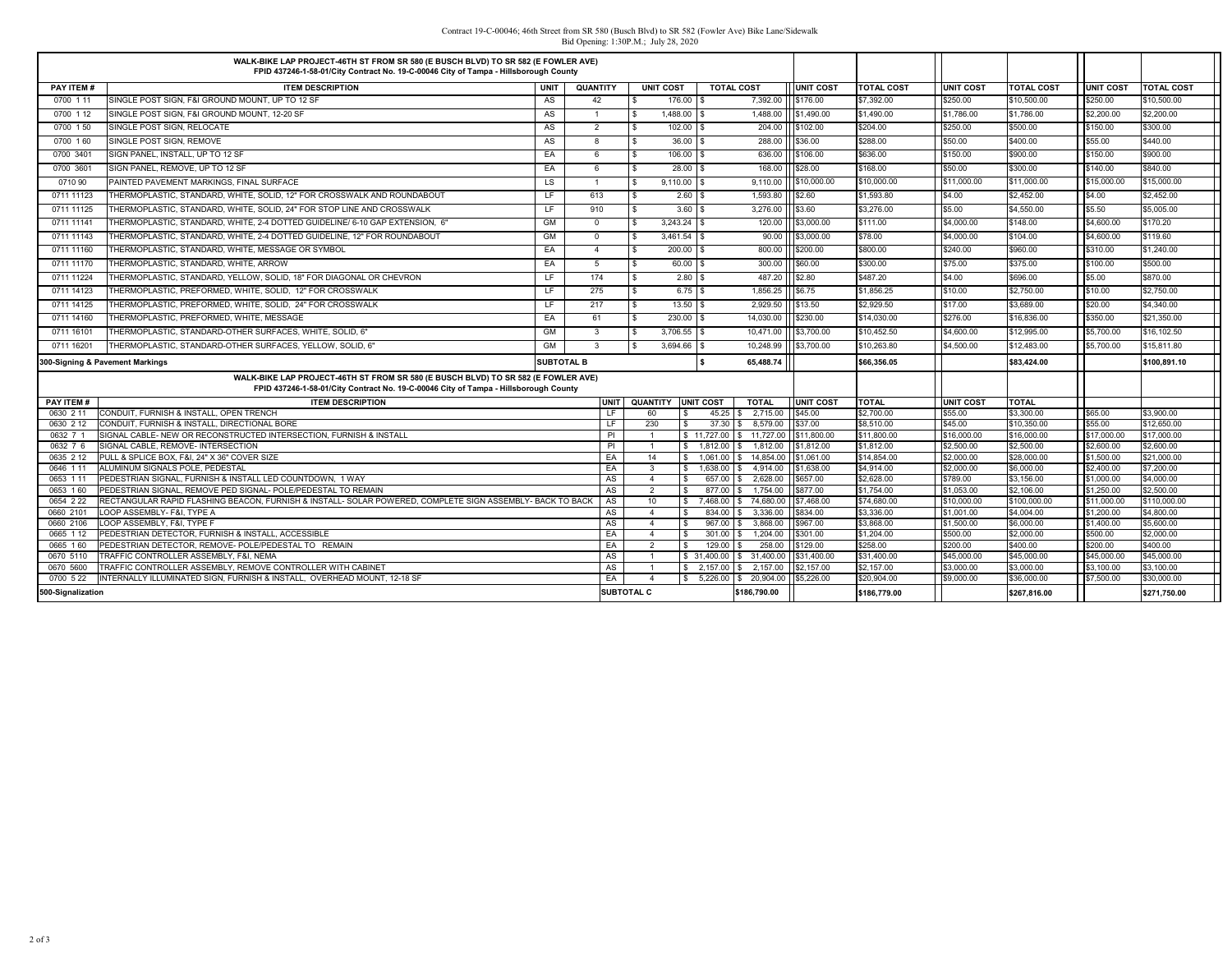## Contract 19-C-00046; 46th Street from SR 580 (Busch Blvd) to SR 582 (Fowler Ave) Bike Lane/Sidewalk Bid Opening: 1:30P.M.; July 28, 2020

|                       | WALK-BIKE LAP PROJECT-46TH ST FROM SR 580 (E BUSCH BLVD) TO SR 582 (E FOWLER AVE)<br>FPID 437246-1-58-01/City Contract No. 19-C-00046 City of Tampa - Hillsborough County |                   |                         |                                   |                                  |                    |                      |                        |                      |                        |                      |                        |
|-----------------------|---------------------------------------------------------------------------------------------------------------------------------------------------------------------------|-------------------|-------------------------|-----------------------------------|----------------------------------|--------------------|----------------------|------------------------|----------------------|------------------------|----------------------|------------------------|
| PAY ITEM #            | <b>ITEM DESCRIPTION</b>                                                                                                                                                   | <b>UNIT</b>       | QUANTITY                | <b>UNIT COST</b>                  | <b>TOTAL COST</b>                |                    | <b>UNIT COST</b>     | <b>TOTAL COST</b>      | <b>UNIT COST</b>     | <b>TOTAL COST</b>      | <b>UNIT COST</b>     | <b>TOTAL COST</b>      |
| 0700 1 11             | SINGLE POST SIGN, F&I GROUND MOUNT, UP TO 12 SF                                                                                                                           | AS                | 42                      | 176.00 \$                         |                                  | 7,392.00           | \$176.00             | \$7,392.00             | \$250.00             | \$10,500.00            | \$250.00             | \$10,500.00            |
| 0700 1 12             | SINGLE POST SIGN, F&I GROUND MOUNT, 12-20 SF                                                                                                                              | AS                | $\overline{1}$          | 1,488.00 \$<br>$\mathbf{s}$       |                                  | 1,488.00           | \$1,490.00           | \$1,490.00             | \$1,786.00           | \$1,786.00             | \$2,200.00           | \$2,200.00             |
| 0700 150              | SINGLE POST SIGN, RELOCATE                                                                                                                                                | AS                | 2                       | $102.00$ \$                       |                                  | 204.00             | \$102.00             | \$204.00               | \$250.00             | \$500.00               | \$150.00             | \$300.00               |
| 0700 160              | SINGLE POST SIGN, REMOVE                                                                                                                                                  | AS                | 8                       | 36.00                             |                                  | 288.00             | \$36.00              | \$288.00               | \$50.00              | \$400.00               | \$55.00              | \$440.00               |
| 0700 3401             | SIGN PANEL, INSTALL, UP TO 12 SF                                                                                                                                          | EA                | 6                       | 106.00 \$<br>l \$                 |                                  | 636.00             | \$106.00             | \$636.00               | \$150.00             | \$900.00               | \$150.00             | \$900.00               |
| 0700 3601             | SIGN PANEL, REMOVE, UP TO 12 SF                                                                                                                                           | EA                | 6                       | $28.00$ \$                        |                                  | 168.00             | \$28.00              | \$168.00               | \$50.00              | \$300.00               | \$140.00             | \$840.00               |
| 0710 90               | PAINTED PAVEMENT MARKINGS. FINAL SURFACE                                                                                                                                  | LS                | $\overline{1}$          | $9,110.00$ \$                     |                                  | 9,110.00           | \$10,000.00          | \$10,000.00            | \$11,000.00          | \$11,000.00            | \$15,000.00          | \$15,000.00            |
| 0711 11123            | THERMOPLASTIC, STANDARD, WHITE, SOLID, 12" FOR CROSSWALK AND ROUNDABOUT                                                                                                   | LF.               | 613                     | 2.60S<br>$\mathbb{S}$             |                                  | 1,593.80           | \$2.60               | \$1,593.80             | \$4.00               | \$2,452.00             | \$4.00               | \$2,452.00             |
| 0711 11125            | THERMOPLASTIC, STANDARD, WHITE, SOLID, 24" FOR STOP LINE AND CROSSWALK                                                                                                    | LF                | 910                     | $\hat{\mathbf{x}}$<br>3.60S       |                                  | 3,276.00           | \$3.60               | \$3,276.00             | \$5.00               | \$4,550.00             | \$5.50               | \$5,005.00             |
| 0711 11141            | THERMOPLASTIC, STANDARD, WHITE, 2-4 DOTTED GUIDELINE/ 6-10 GAP EXTENSION, 6"                                                                                              | GM                | $\overline{0}$          | 3,243.24<br>١s                    |                                  | 120.00             | \$3,000.00           | \$111.00               | \$4,000.00           | \$148.00               | \$4,600.00           | \$170.20               |
| 0711 11143            | THERMOPLASTIC. STANDARD. WHITE. 2-4 DOTTED GUIDELINE. 12" FOR ROUNDABOUT                                                                                                  | GM                | $^{\circ}$              | $3,461.54$ \$                     |                                  | 90.00              | \$3,000.00           | \$78.00                | \$4,000.00           | \$104.00               | \$4,600.00           | \$119.60               |
| 0711 11160            | THERMOPLASTIC, STANDARD, WHITE, MESSAGE OR SYMBOL                                                                                                                         | EA                | $\overline{4}$          | $\mathbf{s}$<br>200.00 \$         |                                  | 800.00             | \$200.00             | \$800.00               | \$240.00             | \$960.00               | \$310.00             | \$1,240.00             |
| 0711 11170            | THERMOPLASTIC, STANDARD, WHITE, ARROW                                                                                                                                     | EA                | 5                       | 60.00 \$                          |                                  | 300.00             | \$60.00              | \$300.00               | \$75.00              | \$375.00               | \$100.00             | \$500.00               |
| 0711 11224            | THERMOPLASTIC. STANDARD. YELLOW. SOLID. 18" FOR DIAGONAL OR CHEVRON                                                                                                       | LF                | 174                     | $2.80$ \ \$<br>$\mathbf{\hat{x}}$ |                                  | 487.20             | \$2.80               | \$487.20               | \$4.00               | \$696.00               | \$5.00               | \$870.00               |
| 0711 14123            | THERMOPLASTIC, PREFORMED, WHITE, SOLID, 12" FOR CROSSWALK                                                                                                                 | LF.               | 275                     | $6.75$ \$<br>$\mathbf{s}$         |                                  | 1,856.25           | \$6.75               | \$1,856.25             | \$10.00              | \$2,750.00             | \$10.00              | \$2,750.00             |
| 0711 14125            | THERMOPLASTIC, PREFORMED, WHITE, SOLID, 24" FOR CROSSWALK                                                                                                                 | LF                | 217                     | $13.50$ \$<br>$\mathbb{S}$        |                                  | 2,929.50           | \$13.50              | \$2,929.50             | \$17.00              | \$3,689.00             | \$20.00              | \$4,340.00             |
| 0711 14160            | THERMOPLASTIC, PREFORMED, WHITE, MESSAGE                                                                                                                                  | EA                | 61                      | 230.00 \$                         | 14,030.00                        |                    | \$230.00             | \$14,030.00            | \$276.00             | \$16,836.00            | \$350.00             | \$21,350.00            |
| 0711 16101            | THERMOPLASTIC, STANDARD-OTHER SURFACES, WHITE, SOLID, 6"                                                                                                                  | <b>GM</b>         | $\overline{\mathbf{3}}$ | 3.706.55 \$                       | 10.471.00                        |                    | \$3,700.00           | \$10,452.50            | \$4,600.00           | \$12,995.00            | \$5,700.00           | \$16,102.50            |
| 0711 16201            | THERMOPLASTIC, STANDARD-OTHER SURFACES, YELLOW, SOLID, 6"                                                                                                                 | GM                | $\mathbf{3}$            | 3,694.66<br>l S                   | 10,248.99                        |                    | \$3,700.00           | \$10,263.80            | \$4,500.00           | \$12,483.00            | \$5,700.00           | \$15,811.80            |
|                       | 300-Signing & Pavement Markings                                                                                                                                           | <b>SUBTOTAL B</b> |                         |                                   | \$.<br>65.488.74                 |                    |                      | \$66,356.05            |                      | \$83,424.00            |                      | \$100,891.10           |
|                       | WALK-BIKE LAP PROJECT-46TH ST FROM SR 580 (E BUSCH BLVD) TO SR 582 (E FOWLER AVE)<br>FPID 437246-1-58-01/City Contract No. 19-C-00046 City of Tampa - Hillsborough County |                   |                         |                                   |                                  |                    |                      |                        |                      |                        |                      |                        |
| PAY ITEM #            | <b>ITEM DESCRIPTION</b>                                                                                                                                                   |                   | <b>UNIT</b>             | <b>QUANTITY</b>                   | <b>UNIT COST</b><br><b>TOTAL</b> |                    | <b>UNIT COST</b>     | <b>TOTAL</b>           | <b>UNIT COST</b>     | <b>TOTAL</b>           |                      |                        |
| 0630 2 11             | CONDUIT, FURNISH & INSTALL, OPEN TRENCH                                                                                                                                   |                   | LF.                     | 60<br>£.                          | 45.25<br>s.                      | 2,715.00           | \$45.00              | \$2,700.00             | \$55.00              | \$3,300.00             | \$65.00              | \$3,900.00             |
| 0630 2 12             | CONDUIT, FURNISH & INSTALL, DIRECTIONAL BORE                                                                                                                              |                   | LF.                     | 230<br>£.                         | 37.30<br>£.                      | 8.579.00           | \$37.00              | \$8,510.00             | \$45.00              | \$10,350.00            | \$55.00              | \$12,650.00            |
| 0632 7 1              | SIGNAL CABLE- NEW OR RECONSTRUCTED INTERSECTION. FURNISH & INSTALL                                                                                                        |                   | <b>PI</b>               | $\overline{1}$                    | \$11,727.00<br>s.                | 11,727.00          | \$11,800.00          | \$11,800.00            | \$16,000.00          | \$16,000.00            | \$17,000.00          | \$17,000.00            |
| 0632 7 6              | SIGNAL CABLE, REMOVE- INTERSECTION                                                                                                                                        |                   | PI                      | $\overline{1}$<br>$\mathbf{s}$    | 1.812.00                         | 1.812.00           | \$1,812.00           | \$1,812.00             | \$2,500.00           | \$2,500.00             | \$2,600.00           | \$2,600.00             |
| 0635 2 12             | PULL & SPLICE BOX, F&I, 24" X 36" COVER SIZE                                                                                                                              |                   | EA                      | 14                                | $$1.061.00$ $$$                  | 14,854.00          | \$1,061.00           | \$14,854.00            | \$2,000.00           | \$28,000.00            | \$1,500.00           | \$21,000.00            |
| 0646 1 11             | ALUMINUM SIGNALS POLE, PEDESTAL                                                                                                                                           |                   | EA                      | $\mathbf{3}$<br>$\mathbf{s}$      | 1.638.00<br>\$.                  | 4.914.00           | \$1,638.00           | \$4,914.00             | \$2,000.00           | \$6,000.00             | \$2,400.00           | \$7,200.00             |
| 0653 1 11             | PEDESTRIAN SIGNAL, FURNISH & INSTALL LED COUNTDOWN, 1 WAY                                                                                                                 |                   | AS                      | $\overline{4}$                    | 657.00 \$                        | 2,628.00           | \$657.00             | \$2,628.00             | \$789.00             | \$3,156.00             | \$1,000.00           | \$4,000.00             |
| 0653 160              | PEDESTRIAN SIGNAL, REMOVE PED SIGNAL- POLE/PEDESTAL TO REMAIN                                                                                                             |                   | AS                      | 2<br>\$                           | 877.00<br>£.                     | 1.754.00           | \$877.00             | \$1,754.00             | \$1,053.00           | \$2,106.00             | \$1,250.00           | \$2,500.00             |
| 0654 2 22             | RECTANGULAR RAPID FLASHING BEACON, FURNISH & INSTALL- SOLAR POWERED, COMPLETE SIGN ASSEMBLY- BACK TO BACK                                                                 |                   | AS                      | 10                                | $$7.468.00$ \ \$                 | 74,680.00          | \$7,468.00           | \$74,680.00            | \$10,000.00          | \$100,000.00           | \$11,000.00          | \$110,000.00           |
| 0660 2101             | LOOP ASSEMBLY- F&I. TYPE A                                                                                                                                                |                   | AS                      | $\overline{4}$                    | 834.00                           | 3,336.00           | \$834.00             | \$3,336.00             | \$1,001.00           | \$4,004.00             | \$1,200.00           | \$4,800.00             |
| 0660 2106             | LOOP ASSEMBLY, F&I, TYPE F                                                                                                                                                |                   | AS                      | $\mathbf{A}$<br>\$                | 967.00                           | 3,868.00           | \$967.00             | \$3,868.00             | \$1,500.00           | \$6,000.00             | \$1,400.00           | \$5,600.00             |
| 0665 1 12<br>0665 160 | PEDESTRIAN DETECTOR, FURNISH & INSTALL, ACCESSIBLE<br>PEDESTRIAN DETECTOR, REMOVE- POLE/PEDESTAL TO REMAIN                                                                |                   | EA<br>EA                | $\overline{4}$<br>2               | 301.00<br>129.00                 | 1.204.00<br>258.00 | \$301.00<br>\$129.00 | \$1,204.00<br>\$258.00 | \$500.00<br>\$200.00 | \$2,000.00<br>\$400.00 | \$500.00<br>\$200.00 | \$2,000.00<br>\$400.00 |
| 0670 5110             | TRAFFIC CONTROLLER ASSEMBLY, F&I, NEMA                                                                                                                                    |                   | AS                      | $\overline{1}$                    | $$31,400.00$ $$31,400.00$        |                    | \$31,400.00          | \$31,400.00            | \$45,000.00          | \$45,000.00            | \$45,000.00          | \$45,000.00            |
| 0670 5600             | TRAFFIC CONTROLLER ASSEMBLY, REMOVE CONTROLLER WITH CABINET                                                                                                               |                   | AS                      | $\overline{1}$                    | $$2,157.00$ $$2,157.00$          |                    | \$2,157.00           | \$2,157.00             | \$3,000.00           | \$3,000.00             | \$3,100.00           | \$3,100.00             |
| 0700 5 22             | INTERNALLY ILLUMINATED SIGN, FURNISH & INSTALL. OVERHEAD MOUNT, 12-18 SF                                                                                                  |                   | EA                      | $\overline{4}$                    | \$ 5.226.00 \$ 20.904.00         |                    | \$5,226.00           | \$20,904.00            | \$9,000.00           | \$36,000.00            | \$7,500.00           | \$30,000.00            |
| 500-Signalization     |                                                                                                                                                                           |                   |                         | SUBTOTAL C                        | \$186,790.00                     |                    |                      | \$186,779.00           |                      | \$267.816.00           |                      | \$271,750.00           |